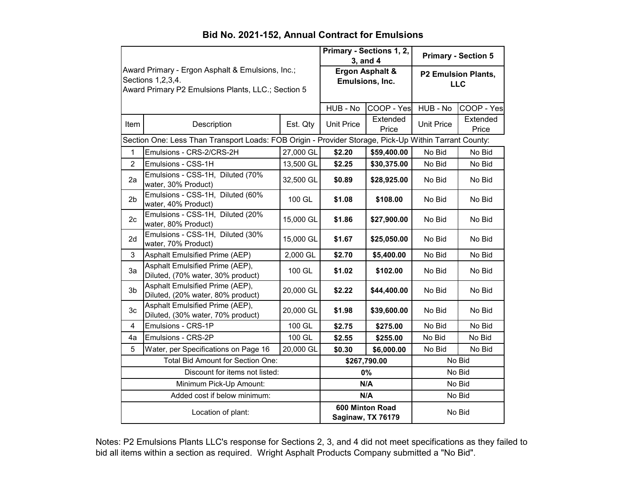|                                                                                                                                |                                                                      |           | Primary - Sections 1, 2,<br>3, and 4 |                   | <b>Primary - Section 5</b>               |                   |  |
|--------------------------------------------------------------------------------------------------------------------------------|----------------------------------------------------------------------|-----------|--------------------------------------|-------------------|------------------------------------------|-------------------|--|
| Award Primary - Ergon Asphalt & Emulsions, Inc.;<br>Sections 1, 2, 3, 4.<br>Award Primary P2 Emulsions Plants, LLC.; Section 5 |                                                                      |           | Ergon Asphalt &<br>Emulsions, Inc.   |                   | <b>P2 Emulsion Plants,</b><br><b>LLC</b> |                   |  |
|                                                                                                                                |                                                                      |           | HUB - No                             | COOP - Yes        | HUB - No                                 | COOP - Yes        |  |
| Item                                                                                                                           | Description                                                          | Est. Qty  | <b>Unit Price</b>                    | Extended<br>Price | <b>Unit Price</b>                        | Extended<br>Price |  |
| Section One: Less Than Transport Loads: FOB Origin - Provider Storage, Pick-Up Within Tarrant County:                          |                                                                      |           |                                      |                   |                                          |                   |  |
| $\mathbf{1}$                                                                                                                   | Emulsions - CRS-2/CRS-2H                                             | 27,000 GL | \$2.20                               | \$59,400.00       | No Bid                                   | No Bid            |  |
| $\overline{2}$                                                                                                                 | Emulsions - CSS-1H                                                   | 13,500 GL | \$2.25                               | \$30,375.00       | No Bid                                   | No Bid            |  |
| 2a                                                                                                                             | Emulsions - CSS-1H, Diluted (70%<br>water, 30% Product)              | 32,500 GL | \$0.89                               | \$28,925.00       | No Bid                                   | No Bid            |  |
| 2 <sub>b</sub>                                                                                                                 | Emulsions - CSS-1H, Diluted (60%<br>water, 40% Product)              | 100 GL    | \$1.08                               | \$108.00          | No Bid                                   | No Bid            |  |
| 2c                                                                                                                             | Emulsions - CSS-1H, Diluted (20%<br>water, 80% Product)              | 15,000 GL | \$1.86                               | \$27,900.00       | No Bid                                   | No Bid            |  |
| 2d                                                                                                                             | Emulsions - CSS-1H, Diluted (30%<br>water, 70% Product)              | 15,000 GL | \$1.67                               | \$25,050.00       | No Bid                                   | No Bid            |  |
| 3                                                                                                                              | Asphalt Emulsified Prime (AEP)                                       | 2,000 GL  | \$2.70                               | \$5,400.00        | No Bid                                   | No Bid            |  |
| 3a                                                                                                                             | Asphalt Emulsified Prime (AEP),<br>Diluted, (70% water, 30% product) | 100 GL    | \$1.02                               | \$102.00          | No Bid                                   | No Bid            |  |
| 3 <sub>b</sub>                                                                                                                 | Asphalt Emulsified Prime (AEP),<br>Diluted, (20% water, 80% product) | 20,000 GL | \$2.22                               | \$44,400.00       | No Bid                                   | No Bid            |  |
| 3c                                                                                                                             | Asphalt Emulsified Prime (AEP),<br>Diluted, (30% water, 70% product) | 20,000 GL | \$1.98                               | \$39,600.00       | No Bid                                   | No Bid            |  |
| $\overline{\mathbf{4}}$                                                                                                        | Emulsions - CRS-1P                                                   | 100 GL    | \$2.75                               | \$275.00          | No Bid                                   | No Bid            |  |
| 4a                                                                                                                             | Emulsions - CRS-2P                                                   | 100 GL    | \$2.55                               | \$255.00          | No Bid                                   | No Bid            |  |
| 5                                                                                                                              | Water, per Specifications on Page 16                                 | 20,000 GL | \$0.30                               | \$6,000.00        | No Bid                                   | No Bid            |  |
| Total Bid Amount for Section One:                                                                                              |                                                                      |           | \$267,790.00                         |                   | No Bid                                   |                   |  |
| Discount for items not listed:                                                                                                 |                                                                      |           | 0%                                   |                   | No Bid                                   |                   |  |
| Minimum Pick-Up Amount:                                                                                                        |                                                                      |           | N/A                                  |                   | No Bid                                   |                   |  |
| Added cost if below minimum:                                                                                                   |                                                                      |           | N/A                                  |                   | No Bid                                   |                   |  |
| Location of plant:                                                                                                             |                                                                      |           | 600 Minton Road<br>Saginaw, TX 76179 |                   | No Bid                                   |                   |  |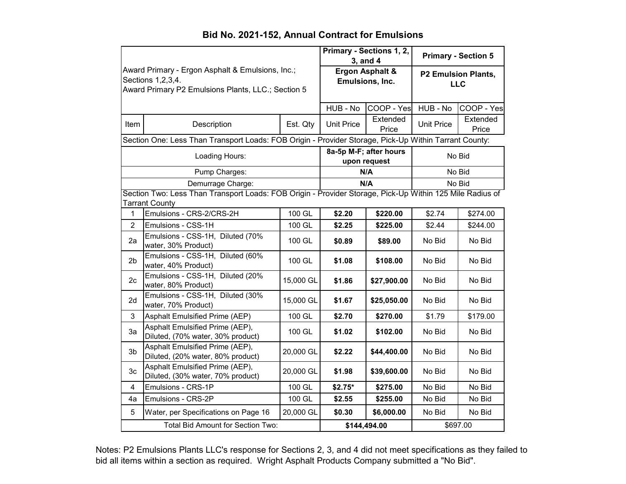|                                                                                                                                |                                                                                                          |           | Primary - Sections 1, 2,<br>3, and 4   |                   | <b>Primary - Section 5</b>               |                   |  |
|--------------------------------------------------------------------------------------------------------------------------------|----------------------------------------------------------------------------------------------------------|-----------|----------------------------------------|-------------------|------------------------------------------|-------------------|--|
| Award Primary - Ergon Asphalt & Emulsions, Inc.;<br>Sections 1, 2, 3, 4.<br>Award Primary P2 Emulsions Plants, LLC.; Section 5 |                                                                                                          |           | Ergon Asphalt &<br>Emulsions, Inc.     |                   | <b>P2 Emulsion Plants,</b><br><b>LLC</b> |                   |  |
|                                                                                                                                |                                                                                                          |           | HUB - No                               | COOP - Yes        | HUB - No                                 | COOP - Yes        |  |
| Item                                                                                                                           | Description                                                                                              | Est. Qty  | <b>Unit Price</b>                      | Extended<br>Price | <b>Unit Price</b>                        | Extended<br>Price |  |
| Section One: Less Than Transport Loads: FOB Origin - Provider Storage, Pick-Up Within Tarrant County:                          |                                                                                                          |           |                                        |                   |                                          |                   |  |
| Loading Hours:                                                                                                                 |                                                                                                          |           | 8a-5p M-F; after hours<br>upon request |                   | No Bid                                   |                   |  |
|                                                                                                                                | Pump Charges:                                                                                            |           | N/A                                    |                   | No Bid                                   |                   |  |
|                                                                                                                                | Demurrage Charge:                                                                                        |           | N/A                                    |                   | No Bid                                   |                   |  |
|                                                                                                                                | Section Two: Less Than Transport Loads: FOB Origin - Provider Storage, Pick-Up Within 125 Mile Radius of |           |                                        |                   |                                          |                   |  |
| 1                                                                                                                              | <b>Tarrant County</b><br>Emulsions - CRS-2/CRS-2H                                                        | 100 GL    | \$2.20                                 | \$220.00          | \$2.74                                   | \$274.00          |  |
| $\overline{2}$                                                                                                                 | Emulsions - CSS-1H                                                                                       | 100 GL    | \$2.25                                 | \$225.00          | \$2.44                                   | \$244.00          |  |
| 2a                                                                                                                             | Emulsions - CSS-1H, Diluted (70%<br>water, 30% Product)                                                  | 100 GL    | \$0.89                                 | \$89.00           | No Bid                                   | No Bid            |  |
| 2 <sub>b</sub>                                                                                                                 | Emulsions - CSS-1H, Diluted (60%<br>water, 40% Product)                                                  | 100 GL    | \$1.08                                 | \$108.00          | No Bid                                   | No Bid            |  |
| 2 <sub>c</sub>                                                                                                                 | Emulsions - CSS-1H, Diluted (20%<br>water, 80% Product)                                                  | 15,000 GL | \$1.86                                 | \$27,900.00       | No Bid                                   | No Bid            |  |
| 2d                                                                                                                             | Emulsions - CSS-1H, Diluted (30%<br>water, 70% Product)                                                  | 15,000 GL | \$1.67                                 | \$25,050.00       | No Bid                                   | No Bid            |  |
| 3                                                                                                                              | Asphalt Emulsified Prime (AEP)                                                                           | 100 GL    | \$2.70                                 | \$270.00          | \$1.79                                   | \$179.00          |  |
| 3a                                                                                                                             | Asphalt Emulsified Prime (AEP),<br>Diluted, (70% water, 30% product)                                     | 100 GL    | \$1.02                                 | \$102.00          | No Bid                                   | No Bid            |  |
| 3 <sub>b</sub>                                                                                                                 | Asphalt Emulsified Prime (AEP),<br>Diluted, (20% water, 80% product)                                     | 20,000 GL | \$2.22                                 | \$44,400.00       | No Bid                                   | No Bid            |  |
| 3c                                                                                                                             | Asphalt Emulsified Prime (AEP),<br>Diluted, (30% water, 70% product)                                     | 20,000 GL | \$1.98                                 | \$39,600.00       | No Bid                                   | No Bid            |  |
| $\overline{\mathbf{4}}$                                                                                                        | Emulsions - CRS-1P                                                                                       | 100 GL    | $$2.75*$                               | \$275.00          | No Bid                                   | No Bid            |  |
| 4a                                                                                                                             | Emulsions - CRS-2P                                                                                       | 100 GL    | \$2.55                                 | \$255.00          | No Bid                                   | No Bid            |  |
| 5                                                                                                                              | Water, per Specifications on Page 16                                                                     | 20,000 GL | \$0.30                                 | \$6,000.00        | No Bid                                   | No Bid            |  |
| Total Bid Amount for Section Two:                                                                                              |                                                                                                          |           | \$144,494.00                           |                   | \$697.00                                 |                   |  |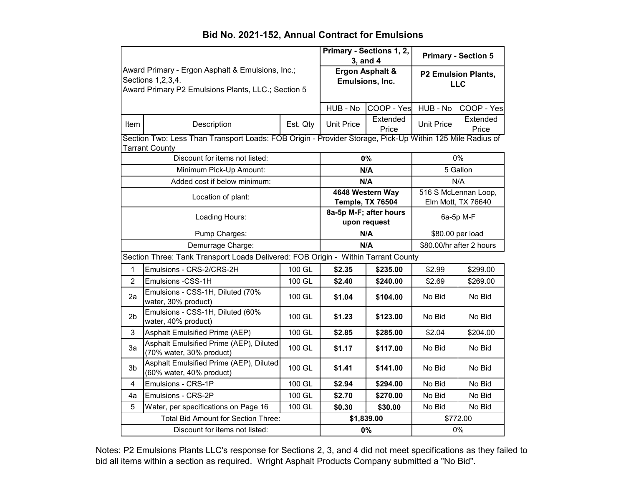#### HUB - No COOP - Yes HUB - No COOP - Yes Item | Description | Est. Qty | Unit Price | Extended Extended Unit Price Extended<br>Price Price Price **Ergon Asphalt & Emulsions, Inc. P2 Emulsion Plants, LLC Primary - Sections 1, 2, 3, and 4 Primary - Section 5** Award Primary - Ergon Asphalt & Emulsions, Inc.; Sections 1,2,3,4. Award Primary P2 Emulsions Plants, LLC.; Section 5 1 Emulsions - CRS-2/CRS-2H 100 GL **\$2.35 \$235.00** \$2.99 \$299.00 2 Emulsions -CSS-1H 100 GL **\$2.40 \$240.00** \$2.69 \$269.00 2a Emulsions - CSS-1H, Diluted (70% water, 30% product) 100 GL **\$1.04 \$104.00** No Bid No Bid 2b Emulsions - CSS-1H, Diluted (60% water, 40% product) 100 GL **\$1.23 \$123.00** No Bid No Bid 3 Asphalt Emulsified Prime (AEP) 100 GL **\$2.85 \$285.00** \$2.04 \$204.00 3a Asphalt Emulsified Prime (AEP), Diluted (70% water, 30% product) 100 GL **\$1.17 \$117.00** No Bid No Bid 3b Asphalt Emulsified Prime (AEP), Diluted (60% water, 40% product) 100 GL **\$1.41 \$141.00** No Bid No Bid 4 Emulsions - CRS-1P 100 GL **\$2.94 \$294.00** No Bid No Bid 4a Emulsions - CRS-2P 100 GL **\$2.70 \$270.00** No Bid No Bid 5 Water, per specifications on Page 16 100 GL **\$0.30 \$30.00** No Bid No Bid Total Bid Amount for Section Three: Discount for items not listed: Minimum Pick-Up Amount: Added cost if below minimum: Location of plant: Loading Hours: Pump Charges: **\$1,839.00** \$772.00 Section Three: Tank Transport Loads Delivered: FOB Origin - Within Tarrant County Demurrage Charge: **4648 Western Way Temple, TX 76504** 516 S McLennan Loop, Elm Mott, TX 76640 **N/A** N/A Section Two: Less Than Transport Loads: FOB Origin - Provider Storage, Pick-Up Within 125 Mile Radius of Tarrant County **0%** 0% **N/A** 5 Gallon \$80.00/hr after 2 hours **8a-5p M-F; after hours upon request** 6a-5p M-F **N/A \$80.00 per load N/A**

#### **Bid No. 2021-152, Annual Contract for Emulsions**

Notes: P2 Emulsions Plants LLC's response for Sections 2, 3, and 4 did not meet specifications as they failed to bid all items within a section as required. Wright Asphalt Products Company submitted a "No Bid".

**0%** 0%

Discount for items not listed: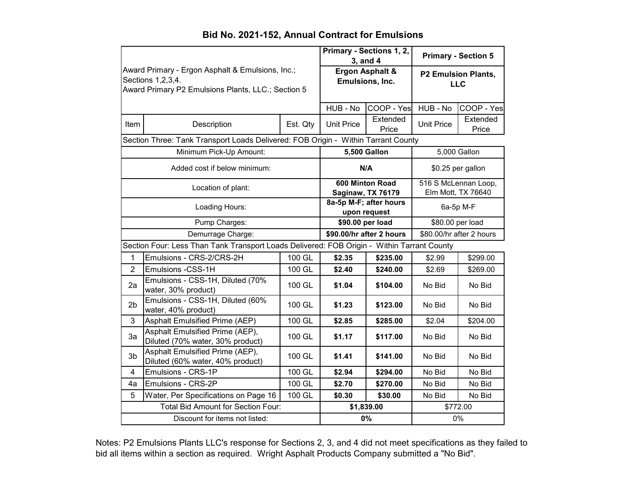|                                                                                                                                |                                                                                   | Primary - Sections 1, 2,<br>3, and 4 |                                        | <b>Primary - Section 5</b>               |                                            |                   |  |
|--------------------------------------------------------------------------------------------------------------------------------|-----------------------------------------------------------------------------------|--------------------------------------|----------------------------------------|------------------------------------------|--------------------------------------------|-------------------|--|
| Award Primary - Ergon Asphalt & Emulsions, Inc.;<br>Sections 1, 2, 3, 4.<br>Award Primary P2 Emulsions Plants, LLC.; Section 5 |                                                                                   | Ergon Asphalt &<br>Emulsions, Inc.   |                                        | <b>P2 Emulsion Plants,</b><br><b>LLC</b> |                                            |                   |  |
|                                                                                                                                |                                                                                   |                                      | HUB - No                               | COOP - Yes                               | HUB - No                                   | COOP - Yes        |  |
| Item                                                                                                                           | Description                                                                       | Est. Qty                             | <b>Unit Price</b>                      | Extended<br>Price                        | <b>Unit Price</b>                          | Extended<br>Price |  |
|                                                                                                                                | Section Three: Tank Transport Loads Delivered: FOB Origin - Within Tarrant County |                                      |                                        |                                          |                                            |                   |  |
|                                                                                                                                | Minimum Pick-Up Amount:                                                           |                                      | <b>5,500 Gallon</b>                    |                                          | 5,000 Gallon                               |                   |  |
| Added cost if below minimum:                                                                                                   |                                                                                   |                                      | N/A                                    |                                          | \$0.25 per gallon                          |                   |  |
| Location of plant:                                                                                                             |                                                                                   |                                      | 600 Minton Road<br>Saginaw, TX 76179   |                                          | 516 S McLennan Loop,<br>Elm Mott, TX 76640 |                   |  |
| Loading Hours:                                                                                                                 |                                                                                   |                                      | 8a-5p M-F; after hours<br>upon request |                                          | 6a-5p M-F                                  |                   |  |
| Pump Charges:                                                                                                                  |                                                                                   |                                      | \$90.00 per load                       |                                          | \$80.00 per load                           |                   |  |
| Demurrage Charge:                                                                                                              |                                                                                   |                                      | \$90.00/hr after 2 hours               |                                          | \$80.00/hr after 2 hours                   |                   |  |
| Section Four: Less Than Tank Transport Loads Delivered: FOB Origin - Within Tarrant County                                     |                                                                                   |                                      |                                        |                                          |                                            |                   |  |
| 1                                                                                                                              | Emulsions - CRS-2/CRS-2H                                                          | 100 GL                               | \$2.35                                 | \$235.00                                 | \$2.99                                     | \$299.00          |  |
| $\overline{2}$                                                                                                                 | Emulsions -CSS-1H                                                                 | 100 GL                               | \$2.40                                 | \$240.00                                 | \$2.69                                     | \$269.00          |  |
| 2a                                                                                                                             | Emulsions - CSS-1H, Diluted (70%<br>water, 30% product)                           | 100 GL                               | \$1.04                                 | \$104.00                                 | No Bid                                     | No Bid            |  |
| 2 <sub>b</sub>                                                                                                                 | Emulsions - CSS-1H, Diluted (60%<br>water, 40% product)                           | 100 GL                               | \$1.23                                 | \$123.00                                 | No Bid                                     | No Bid            |  |
| $\overline{3}$                                                                                                                 | <b>Asphalt Emulsified Prime (AEP)</b>                                             | 100 GL                               | \$2.85                                 | \$285.00                                 | \$2.04                                     | \$204.00          |  |
| 3a                                                                                                                             | Asphalt Emulsified Prime (AEP),<br>Diluted (70% water, 30% product)               | 100 GL                               | \$1.17                                 | \$117.00                                 | No Bid                                     | No Bid            |  |
| 3 <sub>b</sub>                                                                                                                 | Asphalt Emulsified Prime (AEP),<br>Diluted (60% water, 40% product)               | 100 GL                               | \$1.41                                 | \$141.00                                 | No Bid                                     | No Bid            |  |
| $\overline{4}$                                                                                                                 | Emulsions - CRS-1P                                                                | 100 GL                               | \$2.94                                 | \$294.00                                 | No Bid                                     | No Bid            |  |
| 4a                                                                                                                             | Emulsions - CRS-2P                                                                | 100 GL                               | \$2.70                                 | \$270.00                                 | No Bid                                     | No Bid            |  |
| 5                                                                                                                              | Water, Per Specifications on Page 16                                              | 100 GL                               | \$0.30                                 | \$30.00                                  | No Bid                                     | No Bid            |  |
| <b>Total Bid Amount for Section Four:</b>                                                                                      |                                                                                   | \$1,839.00                           |                                        | \$772.00                                 |                                            |                   |  |
| Discount for items not listed:                                                                                                 |                                                                                   |                                      | 0%                                     |                                          | 0%                                         |                   |  |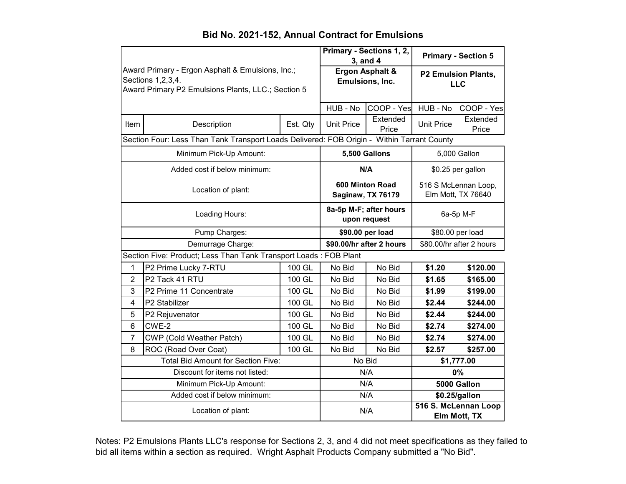#### HUB - No COOP - Yes HUB - No COOP - Yes Item | Description | Est. Qty | Unit Price | Extended Extended Unit Price Extended<br>Price Price Price **Ergon Asphalt & Emulsions, Inc. P2 Emulsion Plants, LLC Primary - Sections 1, 2, 3, and 4 Primary - Section 5** Award Primary - Ergon Asphalt & Emulsions, Inc.; Sections 1,2,3,4. Award Primary P2 Emulsions Plants, LLC.; Section 5 Pump Charges: Demurrage Charge: Minimum Pick-Up Amount: Added cost if below minimum: Location of plant: Loading Hours: **8a-5p M-F; after hours upon request** 6a-5p M-F \$80.00 per load **\$90.00/hr after 2 hours N/A**  $\qquad$  \$0.25 per gallon **600 Minton Road Saginaw, TX 76179** 516 S McLennan Loop, Elm Mott, TX 76640 **\$90.00 per load** Section Four: Less Than Tank Transport Loads Delivered: FOB Origin - Within Tarrant County **5,500 Gallons**  $\qquad$  5,000 Gallon

#### **Bid No. 2021-152, Annual Contract for Emulsions**

1 P2 Prime Lucky 7-RTU 100 GL No Bid No Bid **\$1.20 \$120.00** 2 P2 Tack 41 RTU 100 GL No Bid No Bid **\$1.65 \$165.00** 3 P2 Prime 11 Concentrate 100 GL No Bid No Bid **\$1.99 \$199.00** 4 P2 Stabilizer 100 GL No Bid No Bid **\$2.44 \$244.00** 5 P2 Rejuvenator 100 GL No Bid No Bid **\$2.44 \$244.00** 6 CWE-2 100 GL No Bid No Bid **\$2.74 \$274.00** 7 CWP (Cold Weather Patch) 100 GL No Bid No Bid **\$2.74 \$274.00** 8 ROC (Road Over Coat) | 100 GL | No Bid | No Bid | \$2.57 | \$257.00 Total Bid Amount for Section Five: Discount for items not listed: Minimum Pick-Up Amount: Added cost if below minimum: Location of plant: \$80.00/hr after 2 hours N/A **\$0.25/gallon \$1,777.00** N/A **0%** Section Five: Product; Less Than Tank Transport Loads : FOB Plant N/A **516 S. McLennan Loop Elm Mott, TX**  N/A **5000 Gallon** No Bid